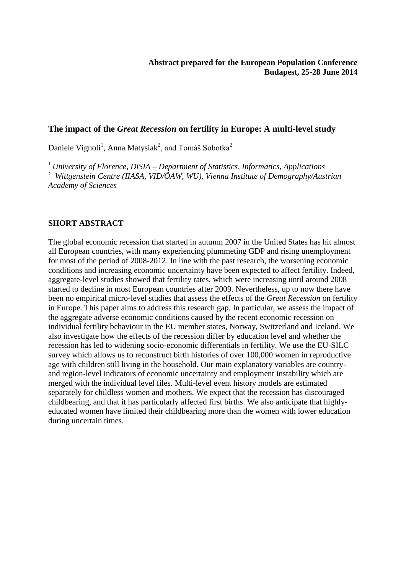### **The impact of the** *Great Recession* **on fertility in Europe: A multi-level study**

Daniele Vignoli<sup>1</sup>, Anna Matysiak<sup>2</sup>, and Tomáš Sobotka<sup>2</sup>

<sup>1</sup> *University of Florence, DiSIA – Department of Statistics, Informatics, Applications* <sup>2</sup> *Wittgenstein Centre (IIASA, VID/ÖAW, WU), Vienna Institute of Demography/Austrian Academy of Sciences*

#### **SHORT ABSTRACT**

The global economic recession that started in autumn 2007 in the United States has hit almost all European countries, with many experiencing plummeting GDP and rising unemployment for most of the period of 2008-2012. In line with the past research, the worsening economic conditions and increasing economic uncertainty have been expected to affect fertility. Indeed, aggregate-level studies showed that fertility rates, which were increasing until around 2008 started to decline in most European countries after 2009. Nevertheless, up to now there have been no empirical micro-level studies that assess the effects of the *Great Recession* on fertility in Europe. This paper aims to address this research gap. In particular, we assess the impact of the aggregate adverse economic conditions caused by the recent economic recession on individual fertility behaviour in the EU member states, Norway, Switzerland and Iceland. We also investigate how the effects of the recession differ by education level and whether the recession has led to widening socio-economic differentials in fertility. We use the EU-SILC survey which allows us to reconstruct birth histories of over 100,000 women in reproductive age with children still living in the household. Our main explanatory variables are countryand region-level indicators of economic uncertainty and employment instability which are merged with the individual level files. Multi-level event history models are estimated separately for childless women and mothers. We expect that the recession has discouraged childbearing, and that it has particularly affected first births. We also anticipate that highlyeducated women have limited their childbearing more than the women with lower education during uncertain times.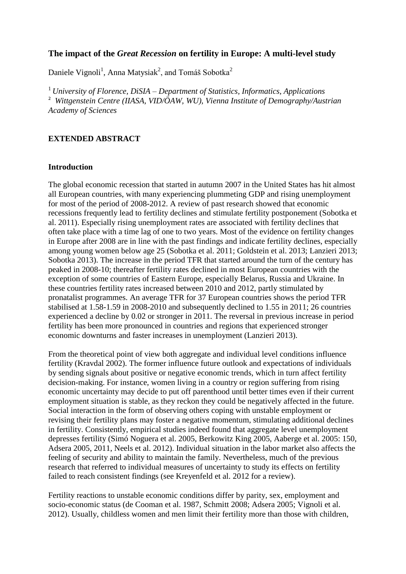# **The impact of the** *Great Recession* **on fertility in Europe: A multi-level study**

Daniele Vignoli<sup>1</sup>, Anna Matysiak<sup>2</sup>, and Tomáš Sobotka<sup>2</sup>

<sup>1</sup> *University of Florence, DiSIA – Department of Statistics, Informatics, Applications* <sup>2</sup> *Wittgenstein Centre (IIASA, VID/ÖAW, WU), Vienna Institute of Demography/Austrian Academy of Sciences*

## **EXTENDED ABSTRACT**

#### **Introduction**

The global economic recession that started in autumn 2007 in the United States has hit almost all European countries, with many experiencing plummeting GDP and rising unemployment for most of the period of 2008-2012. A review of past research showed that economic recessions frequently lead to fertility declines and stimulate fertility postponement (Sobotka et al. 2011). Especially rising unemployment rates are associated with fertility declines that often take place with a time lag of one to two years. Most of the evidence on fertility changes in Europe after 2008 are in line with the past findings and indicate fertility declines, especially among young women below age 25 (Sobotka et al. 2011; Goldstein et al. 2013; Lanzieri 2013; Sobotka 2013). The increase in the period TFR that started around the turn of the century has peaked in 2008-10; thereafter fertility rates declined in most European countries with the exception of some countries of Eastern Europe, especially Belarus, Russia and Ukraine. In these countries fertility rates increased between 2010 and 2012, partly stimulated by pronatalist programmes. An average TFR for 37 European countries shows the period TFR stabilised at 1.58-1.59 in 2008-2010 and subsequently declined to 1.55 in 2011; 26 countries experienced a decline by 0.02 or stronger in 2011. The reversal in previous increase in period fertility has been more pronounced in countries and regions that experienced stronger economic downturns and faster increases in unemployment (Lanzieri 2013).

From the theoretical point of view both aggregate and individual level conditions influence fertility (Kravdal 2002). The former influence future outlook and expectations of individuals by sending signals about positive or negative economic trends, which in turn affect fertility decision-making. For instance, women living in a country or region suffering from rising economic uncertainty may decide to put off parenthood until better times even if their current employment situation is stable, as they reckon they could be negatively affected in the future. Social interaction in the form of observing others coping with unstable employment or revising their fertility plans may foster a negative momentum, stimulating additional declines in fertility. Consistently, empirical studies indeed found that aggregate level unemployment depresses fertility (Simó Noguera et al. 2005, Berkowitz King 2005, Aaberge et al. 2005: 150, Adsera 2005, 2011, Neels et al. 2012). Individual situation in the labor market also affects the feeling of security and ability to maintain the family. Nevertheless, much of the previous research that referred to individual measures of uncertainty to study its effects on fertility failed to reach consistent findings (see Kreyenfeld et al. 2012 for a review).

Fertility reactions to unstable economic conditions differ by parity, sex, employment and socio-economic status (de Cooman et al. 1987, Schmitt 2008; Adsera 2005; Vignoli et al. 2012). Usually, childless women and men limit their fertility more than those with children,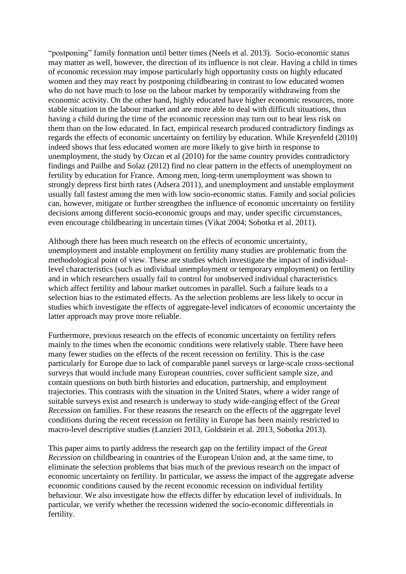"postponing" family formation until better times (Neels et al. 2013). Socio-economic status may matter as well, however, the direction of its influence is not clear. Having a child in times of economic recession may impose particularly high opportunity costs on highly educated women and they may react by postponing childbearing in contrast to low educated women who do not have much to lose on the labour market by temporarily withdrawing from the economic activity. On the other hand, highly educated have higher economic resources, more stable situation in the labour market and are more able to deal with difficult situations, thus having a child during the time of the economic recession may turn out to bear less risk on them than on the low educated. In fact, empirical research produced contradictory findings as regards the effects of economic uncertainty on fertility by education. While Kreyenfeld (2010) indeed shows that less educated women are more likely to give birth in response to unemployment, the study by Ozcan et al (2010) for the same country provides contradictory findings and Pailhe and Solaz (2012) find no clear pattern in the effects of unemployment on fertility by education for France. Among men, long-term unemployment was shown to strongly depress first birth rates (Adsera 2011), and unemployment and unstable employment usually fall fastest among the men with low socio-economic status. Family and social policies can, however, mitigate or further strengthen the influence of economic uncertainty on fertility decisions among different socio-economic groups and may, under specific circumstances, even encourage childbearing in uncertain times (Vikat 2004; Sobotka et al. 2011).

Although there has been much research on the effects of economic uncertainty, unemployment and instable employment on fertility many studies are problematic from the methodological point of view. These are studies which investigate the impact of individuallevel characteristics (such as individual unemployment or temporary employment) on fertility and in which researchers usually fail to control for unobserved individual characteristics which affect fertility and labour market outcomes in parallel. Such a failure leads to a selection bias to the estimated effects. As the selection problems are less likely to occur in studies which investigate the effects of aggregate-level indicators of economic uncertainty the latter approach may prove more reliable.

Furthermore, previous research on the effects of economic uncertainty on fertility refers mainly to the times when the economic conditions were relatively stable. There have been many fewer studies on the effects of the recent recession on fertility. This is the case particularly for Europe due to lack of comparable panel surveys or large-scale cross-sectional surveys that would include many European countries, cover sufficient sample size, and contain questions on both birth histories and education, partnership, and employment trajectories. This contrasts with the situation in the United States, where a wider range of suitable surveys exist and research is underway to study wide-ranging effect of the *Great Recession* on families. For these reasons the research on the effects of the aggregate level conditions during the recent recession on fertility in Europe has been mainly restricted to macro-level descriptive studies (Lanzieri 2013, Goldstein et al. 2013, Sobotka 2013).

This paper aims to partly address the research gap on the fertility impact of the *Great Recession* on childbearing in countries of the European Union and, at the same time, to eliminate the selection problems that bias much of the previous research on the impact of economic uncertainty on fertility. In particular, we assess the impact of the aggregate adverse economic conditions caused by the recent economic recession on individual fertility behaviour. We also investigate how the effects differ by education level of individuals. In particular, we verify whether the recession widened the socio-economic differentials in fertility.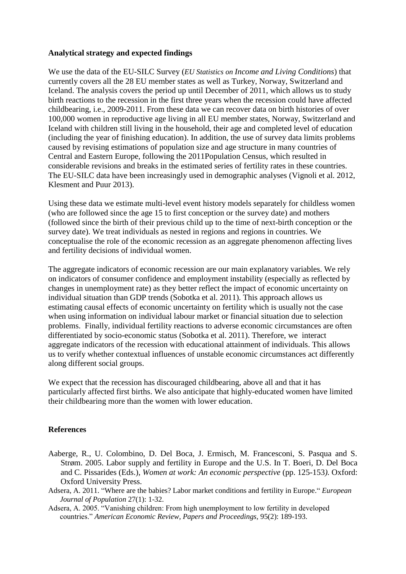## **Analytical strategy and expected findings**

We use the data of the EU-SILC Survey (*EU Statistics on Income and Living Conditions*) that currently covers all the 28 EU member states as well as Turkey, Norway, Switzerland and Iceland. The analysis covers the period up until December of 2011, which allows us to study birth reactions to the recession in the first three years when the recession could have affected childbearing, i.e., 2009-2011. From these data we can recover data on birth histories of over 100,000 women in reproductive age living in all EU member states, Norway, Switzerland and Iceland with children still living in the household, their age and completed level of education (including the year of finishing education). In addition, the use of survey data limits problems caused by revising estimations of population size and age structure in many countries of Central and Eastern Europe, following the 2011Population Census, which resulted in considerable revisions and breaks in the estimated series of fertility rates in these countries. The EU-SILC data have been increasingly used in demographic analyses (Vignoli et al. 2012, Klesment and Puur 2013).

Using these data we estimate multi-level event history models separately for childless women (who are followed since the age 15 to first conception or the survey date) and mothers (followed since the birth of their previous child up to the time of next-birth conception or the survey date). We treat individuals as nested in regions and regions in countries. We conceptualise the role of the economic recession as an aggregate phenomenon affecting lives and fertility decisions of individual women.

The aggregate indicators of economic recession are our main explanatory variables. We rely on indicators of consumer confidence and employment instability (especially as reflected by changes in unemployment rate) as they better reflect the impact of economic uncertainty on individual situation than GDP trends (Sobotka et al. 2011). This approach allows us estimating causal effects of economic uncertainty on fertility which is usually not the case when using information on individual labour market or financial situation due to selection problems. Finally, individual fertility reactions to adverse economic circumstances are often differentiated by socio-economic status (Sobotka et al. 2011). Therefore, we interact aggregate indicators of the recession with educational attainment of individuals. This allows us to verify whether contextual influences of unstable economic circumstances act differently along different social groups.

We expect that the recession has discouraged childbearing, above all and that it has particularly affected first births. We also anticipate that highly-educated women have limited their childbearing more than the women with lower education.

# **References**

- Aaberge, R., U. Colombino, D. Del Boca, J. Ermisch, M. Francesconi, S. Pasqua and S. Strøm. 2005. Labor supply and fertility in Europe and the U.S. In T. Boeri, D. Del Boca and C. Pissarides (Eds.), *Women at work: An economic perspective* (pp. 125-153*).* Oxford: Oxford University Press.
- Adsera, A. 2011. "Where are the babies? Labor market conditions and fertility in Europe." *European Journal of Population* 27(1): 1-32.
- Adsera, A. 2005. "Vanishing children: From high unemployment to low fertility in developed countries." *American Economic Review, Papers and Proceedings,* 95(2): 189-193.